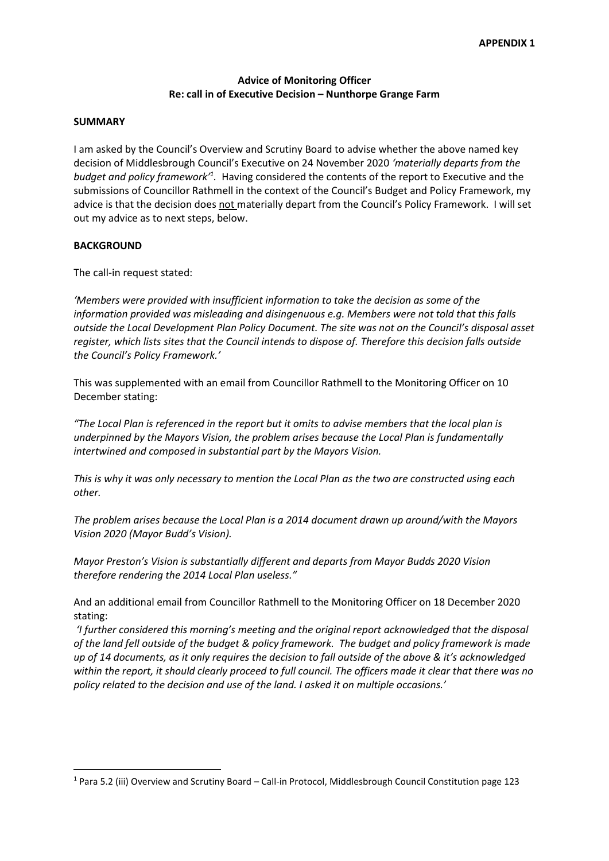# Advice of Monitoring Officer Re: call in of Executive Decision – Nunthorpe Grange Farm

#### SUMMARY

I am asked by the Council's Overview and Scrutiny Board to advise whether the above named key decision of Middlesbrough Council's Executive on 24 November 2020 'materially departs from the budget and policy framework<sup>1</sup>. Having considered the contents of the report to Executive and the submissions of Councillor Rathmell in the context of the Council's Budget and Policy Framework, my advice is that the decision does not materially depart from the Council's Policy Framework. I will set out my advice as to next steps, below.

#### **BACKGROUND**

-

The call-in request stated:

'Members were provided with insufficient information to take the decision as some of the information provided was misleading and disingenuous e.g. Members were not told that this falls outside the Local Development Plan Policy Document. The site was not on the Council's disposal asset register, which lists sites that the Council intends to dispose of. Therefore this decision falls outside the Council's Policy Framework.'

This was supplemented with an email from Councillor Rathmell to the Monitoring Officer on 10 December stating:

"The Local Plan is referenced in the report but it omits to advise members that the local plan is underpinned by the Mayors Vision, the problem arises because the Local Plan is fundamentally intertwined and composed in substantial part by the Mayors Vision.

This is why it was only necessary to mention the Local Plan as the two are constructed using each other.

The problem arises because the Local Plan is a 2014 document drawn up around/with the Mayors Vision 2020 (Mayor Budd's Vision).

Mayor Preston's Vision is substantially different and departs from Mayor Budds 2020 Vision therefore rendering the 2014 Local Plan useless."

And an additional email from Councillor Rathmell to the Monitoring Officer on 18 December 2020 stating:

 'I further considered this morning's meeting and the original report acknowledged that the disposal of the land fell outside of the budget & policy framework. The budget and policy framework is made up of 14 documents, as it only requires the decision to fall outside of the above & it's acknowledged within the report, it should clearly proceed to full council. The officers made it clear that there was no policy related to the decision and use of the land. I asked it on multiple occasions.'

<sup>&</sup>lt;sup>1</sup> Para 5.2 (iii) Overview and Scrutiny Board – Call-in Protocol, Middlesbrough Council Constitution page 123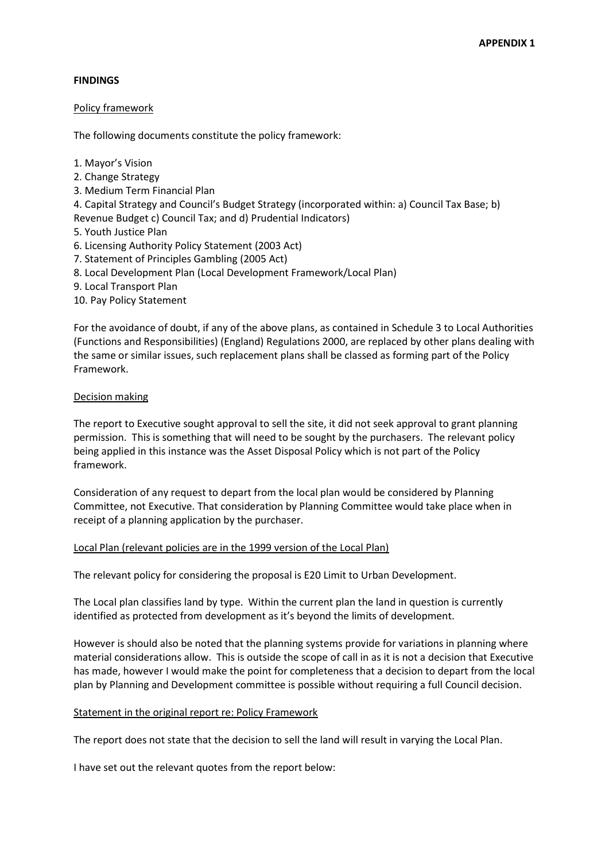## FINDINGS

## Policy framework

The following documents constitute the policy framework:

- 1. Mayor's Vision
- 2. Change Strategy
- 3. Medium Term Financial Plan
- 4. Capital Strategy and Council's Budget Strategy (incorporated within: a) Council Tax Base; b)
- Revenue Budget c) Council Tax; and d) Prudential Indicators)
- 5. Youth Justice Plan
- 6. Licensing Authority Policy Statement (2003 Act)
- 7. Statement of Principles Gambling (2005 Act)
- 8. Local Development Plan (Local Development Framework/Local Plan)
- 9. Local Transport Plan
- 10. Pay Policy Statement

For the avoidance of doubt, if any of the above plans, as contained in Schedule 3 to Local Authorities (Functions and Responsibilities) (England) Regulations 2000, are replaced by other plans dealing with the same or similar issues, such replacement plans shall be classed as forming part of the Policy Framework.

## Decision making

The report to Executive sought approval to sell the site, it did not seek approval to grant planning permission. This is something that will need to be sought by the purchasers. The relevant policy being applied in this instance was the Asset Disposal Policy which is not part of the Policy framework.

Consideration of any request to depart from the local plan would be considered by Planning Committee, not Executive. That consideration by Planning Committee would take place when in receipt of a planning application by the purchaser.

## Local Plan (relevant policies are in the 1999 version of the Local Plan)

The relevant policy for considering the proposal is E20 Limit to Urban Development.

The Local plan classifies land by type. Within the current plan the land in question is currently identified as protected from development as it's beyond the limits of development.

However is should also be noted that the planning systems provide for variations in planning where material considerations allow. This is outside the scope of call in as it is not a decision that Executive has made, however I would make the point for completeness that a decision to depart from the local plan by Planning and Development committee is possible without requiring a full Council decision.

## Statement in the original report re: Policy Framework

The report does not state that the decision to sell the land will result in varying the Local Plan.

I have set out the relevant quotes from the report below: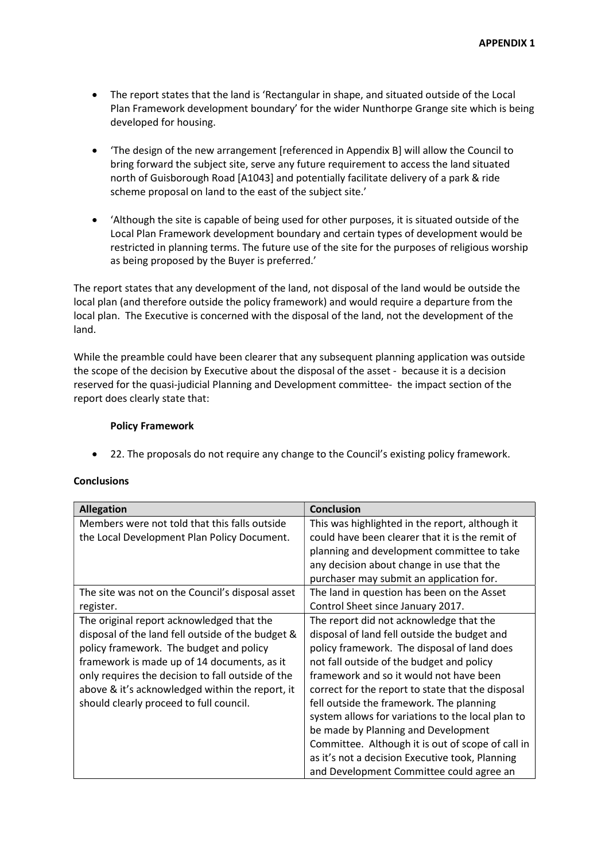- The report states that the land is 'Rectangular in shape, and situated outside of the Local Plan Framework development boundary' for the wider Nunthorpe Grange site which is being developed for housing.
- 'The design of the new arrangement [referenced in Appendix B] will allow the Council to bring forward the subject site, serve any future requirement to access the land situated north of Guisborough Road [A1043] and potentially facilitate delivery of a park & ride scheme proposal on land to the east of the subject site.'
- 'Although the site is capable of being used for other purposes, it is situated outside of the Local Plan Framework development boundary and certain types of development would be restricted in planning terms. The future use of the site for the purposes of religious worship as being proposed by the Buyer is preferred.'

The report states that any development of the land, not disposal of the land would be outside the local plan (and therefore outside the policy framework) and would require a departure from the local plan. The Executive is concerned with the disposal of the land, not the development of the land.

While the preamble could have been clearer that any subsequent planning application was outside the scope of the decision by Executive about the disposal of the asset - because it is a decision reserved for the quasi-judicial Planning and Development committee- the impact section of the report does clearly state that:

#### Policy Framework

22. The proposals do not require any change to the Council's existing policy framework.

## **Conclusions**

| <b>Allegation</b>                                 | <b>Conclusion</b>                                 |
|---------------------------------------------------|---------------------------------------------------|
| Members were not told that this falls outside     | This was highlighted in the report, although it   |
| the Local Development Plan Policy Document.       | could have been clearer that it is the remit of   |
|                                                   | planning and development committee to take        |
|                                                   | any decision about change in use that the         |
|                                                   | purchaser may submit an application for.          |
| The site was not on the Council's disposal asset  | The land in question has been on the Asset        |
| register.                                         | Control Sheet since January 2017.                 |
| The original report acknowledged that the         | The report did not acknowledge that the           |
| disposal of the land fell outside of the budget & | disposal of land fell outside the budget and      |
| policy framework. The budget and policy           | policy framework. The disposal of land does       |
| framework is made up of 14 documents, as it       | not fall outside of the budget and policy         |
| only requires the decision to fall outside of the | framework and so it would not have been           |
| above & it's acknowledged within the report, it   | correct for the report to state that the disposal |
| should clearly proceed to full council.           | fell outside the framework. The planning          |
|                                                   | system allows for variations to the local plan to |
|                                                   | be made by Planning and Development               |
|                                                   | Committee. Although it is out of scope of call in |
|                                                   | as it's not a decision Executive took, Planning   |
|                                                   | and Development Committee could agree an          |